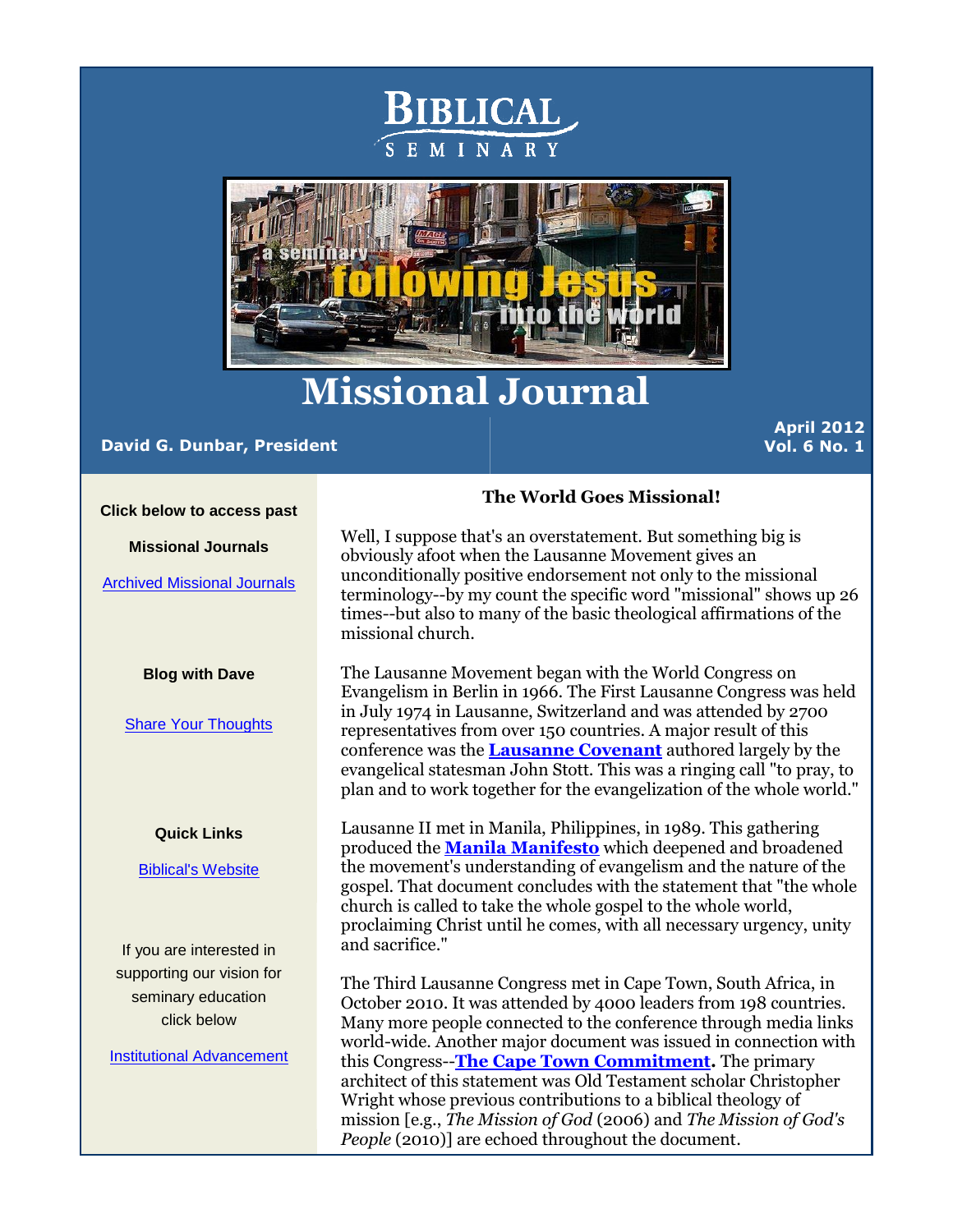



# **Missional Journal**

# **David G. Dunbar, President**

**April 2012 Vol. 6 No. 1** 

**Click below to access past** 

**Missional Journals**

[Archived Missional Journals](http://r20.rs6.net/tn.jsp?e=001fL4fOp6jm7WPgO2y4yeIMjRkcc-72fdoSSYxkpkdwmLX398SDCNtdI9T4pNAzSc5UkDmHKLh3iqXN4nX7MXhdxo1Uy5weobvpyzP_ZAHxZbwgMHL9keGHVwUdjX9wpK7dPHgdQPGs2U=)

### **Blog with Dave**

[Share Your Thoughts](http://r20.rs6.net/tn.jsp?e=001fL4fOp6jm7WPgO2y4yeIMjRkcc-72fdoSSYxkpkdwmLX398SDCNtdI9T4pNAzSc52raP_UdsVSbB_3CKu3qtK7FAdQD9oKAHLKlyN7TpYFkLwCSp74GsJw==)

#### **Quick Links**

[Biblical's Website](http://r20.rs6.net/tn.jsp?e=001fL4fOp6jm7WPgO2y4yeIMjRkcc-72fdoSSYxkpkdwmLX398SDCNtdI9T4pNAzSc5UkDmHKLh3iqXN4nX7MXhdxo1Uy5weobvzDG7NBO5_XI=) 

If you are interested in supporting our vision for seminary education click below

[Institutional Advancement](http://r20.rs6.net/tn.jsp?e=001fL4fOp6jm7WPgO2y4yeIMjRkcc-72fdoSSYxkpkdwmLX398SDCNtdI9T4pNAzSc5UkDmHKLh3iqXN4nX7MXhdxo1Uy5weobvpyzP_ZAHxZZ8RxQIXNdIvbN1moNNpxZdy46n7AfCChc=)

# **The World Goes Missional!**

Well, I suppose that's an overstatement. But something big is obviously afoot when the Lausanne Movement gives an unconditionally positive endorsement not only to the missional terminology--by my count the specific word "missional" shows up 26 times--but also to many of the basic theological affirmations of the missional church.

The Lausanne Movement began with the World Congress on Evangelism in Berlin in 1966. The First Lausanne Congress was held in July 1974 in Lausanne, Switzerland and was attended by 2700 representatives from over 150 countries. A major result of this conference was the **[Lausanne Covenant](http://r20.rs6.net/tn.jsp?e=001fL4fOp6jm7WPgO2y4yeIMjRkcc-72fdoSSYxkpkdwmLX398SDCNtdI9T4pNAzSc5UkDmHKLh3iqvBORSIj0zOo5f9pUV9vcd2JAU3AOsx457tVZ-3Z592ZnNrhtLGWB6nZIjWa35ZG6Y48AVJT8bbM6U91UgZbtR)** authored largely by the evangelical statesman John Stott. This was a ringing call "to pray, to plan and to work together for the evangelization of the whole world."

Lausanne II met in Manila, Philippines, in 1989. This gathering produced the **[Manila Manifesto](http://r20.rs6.net/tn.jsp?e=001fL4fOp6jm7WPgO2y4yeIMjRkcc-72fdoSSYxkpkdwmLX398SDCNtdI9T4pNAzSc5UkDmHKLh3iqvBORSIj0zOo5f9pUV9vcd2JAU3AOsx457tVZ-3Z592TkVivaSJJsB9js-J5ooiVCKwoK3dwsfNg==)** which deepened and broadened the movement's understanding of evangelism and the nature of the gospel. That document concludes with the statement that "the whole church is called to take the whole gospel to the whole world, proclaiming Christ until he comes, with all necessary urgency, unity and sacrifice."

The Third Lausanne Congress met in Cape Town, South Africa, in October 2010. It was attended by 4000 leaders from 198 countries. Many more people connected to the conference through media links world-wide. Another major document was issued in connection with this Congress--**[The Cape Town Commitment.](http://r20.rs6.net/tn.jsp?e=001fL4fOp6jm7WPgO2y4yeIMjRkcc-72fdoSSYxkpkdwmLX398SDCNtdI9T4pNAzSc5UkDmHKLh3iqvBORSIj0zOo5f9pUV9vcd2JAU3AOsx457tVZ-3Z592SkQ_VS3WMkR_v4sjzvxvpzHPWppv8d8bw==)** The primary architect of this statement was Old Testament scholar Christopher Wright whose previous contributions to a biblical theology of mission [e.g., *The Mission of God* (2006) and *The Mission of God's People* (2010)] are echoed throughout the document.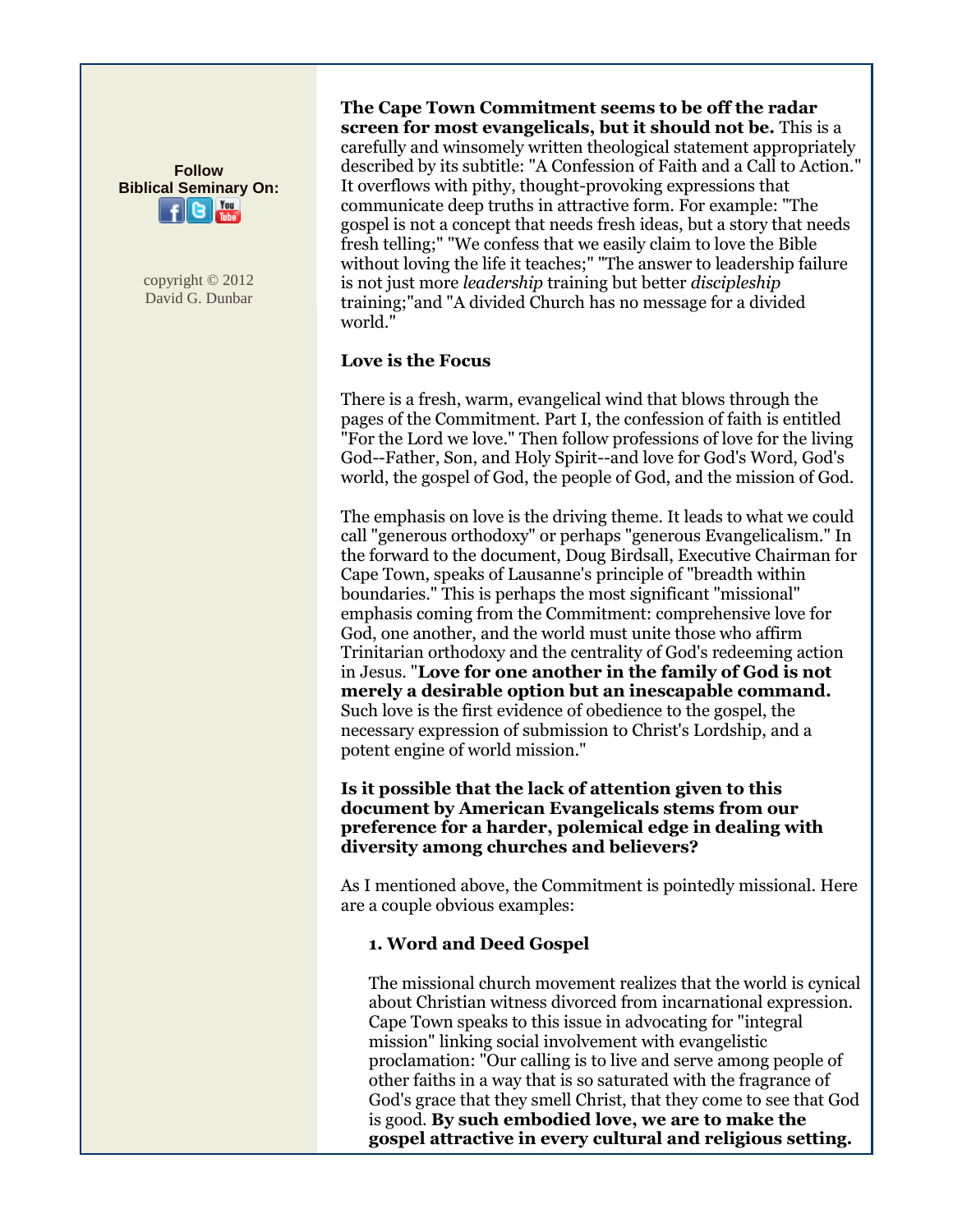**Follow Biblical Seminary On:**  $You$ 

> copyright © 2012 David G. Dunbar

**The Cape Town Commitment seems to be off the radar screen for most evangelicals, but it should not be.** This is a carefully and winsomely written theological statement appropriately described by its subtitle: "A Confession of Faith and a Call to Action." It overflows with pithy, thought-provoking expressions that communicate deep truths in attractive form. For example: "The gospel is not a concept that needs fresh ideas, but a story that needs fresh telling;" "We confess that we easily claim to love the Bible without loving the life it teaches;" "The answer to leadership failure is not just more *leadership* training but better *discipleship* training;"and "A divided Church has no message for a divided world."

# **Love is the Focus**

There is a fresh, warm, evangelical wind that blows through the pages of the Commitment. Part I, the confession of faith is entitled "For the Lord we love." Then follow professions of love for the living God--Father, Son, and Holy Spirit--and love for God's Word, God's world, the gospel of God, the people of God, and the mission of God.

The emphasis on love is the driving theme. It leads to what we could call "generous orthodoxy" or perhaps "generous Evangelicalism." In the forward to the document, Doug Birdsall, Executive Chairman for Cape Town, speaks of Lausanne's principle of "breadth within boundaries." This is perhaps the most significant "missional" emphasis coming from the Commitment: comprehensive love for God, one another, and the world must unite those who affirm Trinitarian orthodoxy and the centrality of God's redeeming action in Jesus. "**Love for one another in the family of God is not merely a desirable option but an inescapable command.** Such love is the first evidence of obedience to the gospel, the necessary expression of submission to Christ's Lordship, and a potent engine of world mission."

**Is it possible that the lack of attention given to this document by American Evangelicals stems from our preference for a harder, polemical edge in dealing with diversity among churches and believers?**

As I mentioned above, the Commitment is pointedly missional. Here are a couple obvious examples:

# **1. Word and Deed Gospel**

The missional church movement realizes that the world is cynical about Christian witness divorced from incarnational expression. Cape Town speaks to this issue in advocating for "integral mission" linking social involvement with evangelistic proclamation: "Our calling is to live and serve among people of other faiths in a way that is so saturated with the fragrance of God's grace that they smell Christ, that they come to see that God is good. **By such embodied love, we are to make the gospel attractive in every cultural and religious setting.**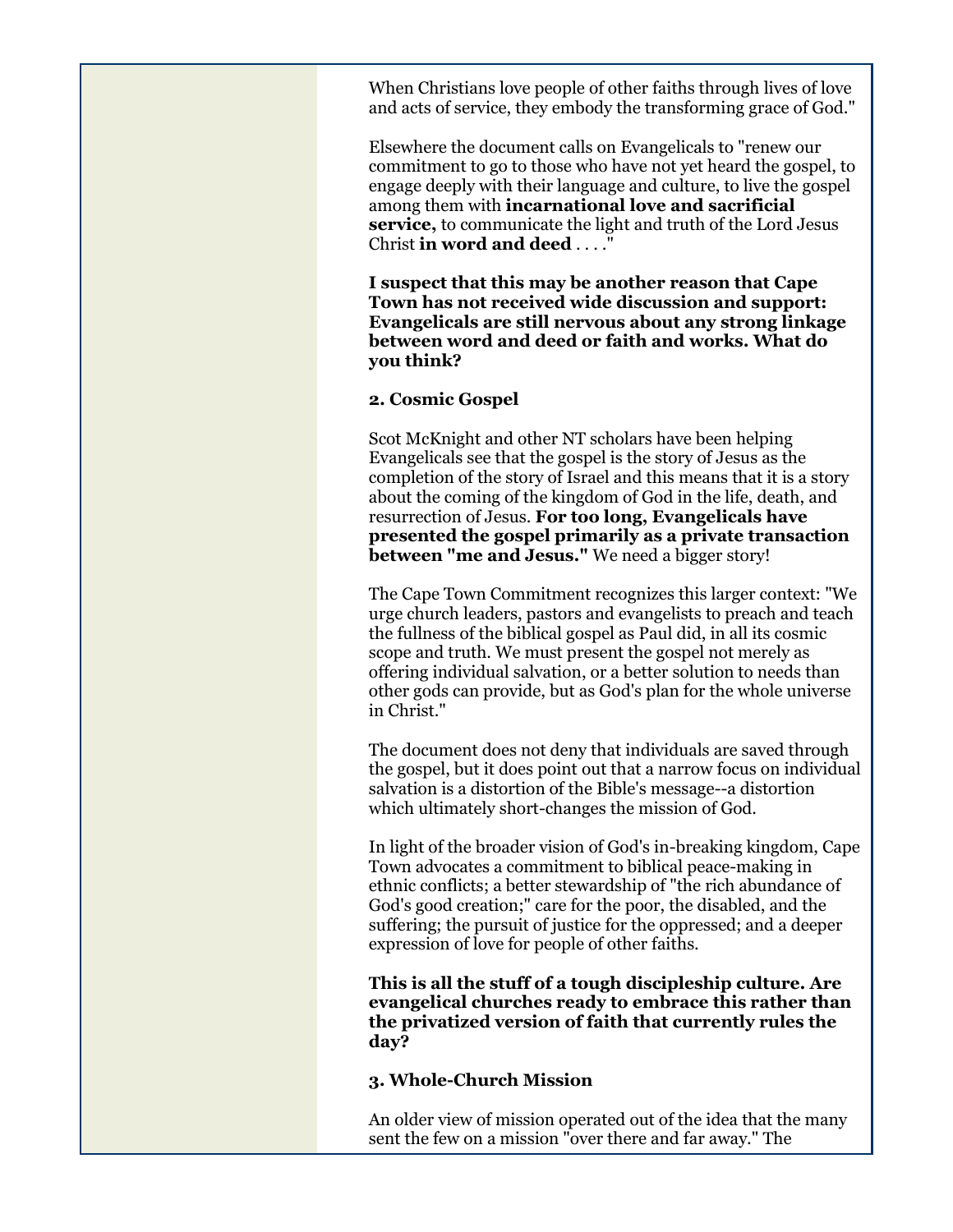When Christians love people of other faiths through lives of love and acts of service, they embody the transforming grace of God."

Elsewhere the document calls on Evangelicals to "renew our commitment to go to those who have not yet heard the gospel, to engage deeply with their language and culture, to live the gospel among them with **incarnational love and sacrificial service,** to communicate the light and truth of the Lord Jesus Christ **in word and deed** . . . .

**I suspect that this may be another reason that Cape Town has not received wide discussion and support: Evangelicals are still nervous about any strong linkage between word and deed or faith and works. What do you think?**

## **2. Cosmic Gospel**

Scot McKnight and other NT scholars have been helping Evangelicals see that the gospel is the story of Jesus as the completion of the story of Israel and this means that it is a story about the coming of the kingdom of God in the life, death, and resurrection of Jesus. **For too long, Evangelicals have presented the gospel primarily as a private transaction between "me and Jesus."** We need a bigger story!

The Cape Town Commitment recognizes this larger context: "We urge church leaders, pastors and evangelists to preach and teach the fullness of the biblical gospel as Paul did, in all its cosmic scope and truth. We must present the gospel not merely as offering individual salvation, or a better solution to needs than other gods can provide, but as God's plan for the whole universe in Christ."

The document does not deny that individuals are saved through the gospel, but it does point out that a narrow focus on individual salvation is a distortion of the Bible's message--a distortion which ultimately short-changes the mission of God.

In light of the broader vision of God's in-breaking kingdom, Cape Town advocates a commitment to biblical peace-making in ethnic conflicts; a better stewardship of "the rich abundance of God's good creation;" care for the poor, the disabled, and the suffering; the pursuit of justice for the oppressed; and a deeper expression of love for people of other faiths.

**This is all the stuff of a tough discipleship culture. Are evangelical churches ready to embrace this rather than the privatized version of faith that currently rules the day?**

## **3. Whole-Church Mission**

An older view of mission operated out of the idea that the many sent the few on a mission "over there and far away." The